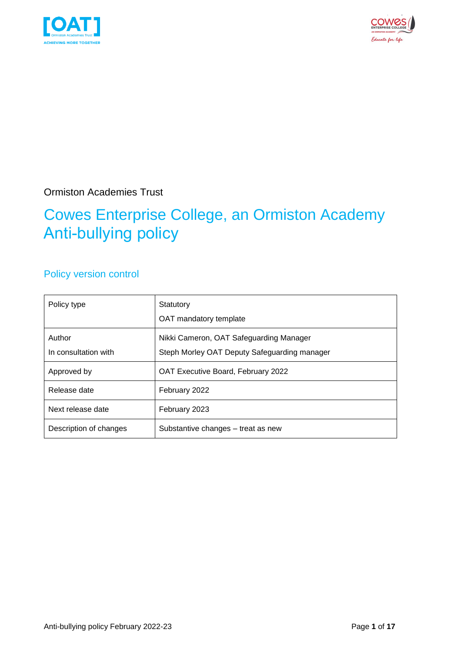



Ormiston Academies Trust

### Cowes Enterprise College, an Ormiston Academy Anti-bullying policy

### Policy version control

| Policy type                    | Statutory<br>OAT mandatory template                                                     |
|--------------------------------|-----------------------------------------------------------------------------------------|
| Author<br>In consultation with | Nikki Cameron, OAT Safeguarding Manager<br>Steph Morley OAT Deputy Safeguarding manager |
| Approved by                    | OAT Executive Board, February 2022                                                      |
| Release date                   | February 2022                                                                           |
| Next release date              | February 2023                                                                           |
| Description of changes         | Substantive changes – treat as new                                                      |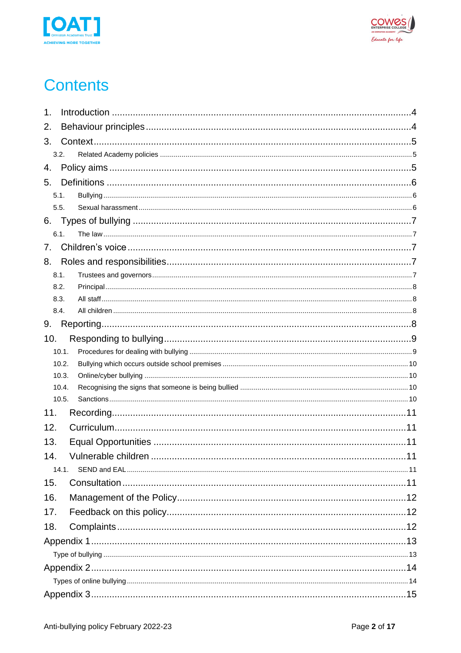



# **Contents**

| 1.             |  |
|----------------|--|
| 2.             |  |
| 3.             |  |
| 3.2.           |  |
| 4.             |  |
| 5.             |  |
| 5.1.           |  |
| 5.5.           |  |
| 6.             |  |
| 6.1.           |  |
| 7.             |  |
| 8.             |  |
| 8.1.           |  |
| 8.2.           |  |
| 8.3.           |  |
| 8.4.           |  |
| 9.             |  |
| 10.            |  |
| 10.1.          |  |
| 10.2.          |  |
| 10.3.          |  |
| 10.4.<br>10.5. |  |
| 11.            |  |
| 12.            |  |
|                |  |
| 13.            |  |
| 14.            |  |
| 14.1           |  |
| 15.            |  |
| 16.            |  |
| 17.            |  |
| 18.            |  |
|                |  |
|                |  |
|                |  |
|                |  |
|                |  |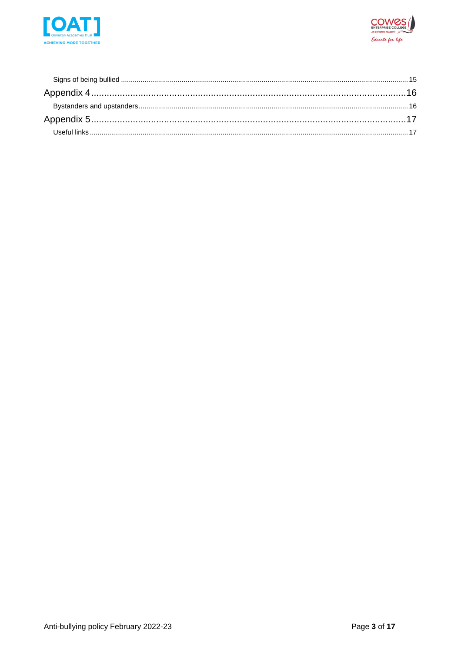

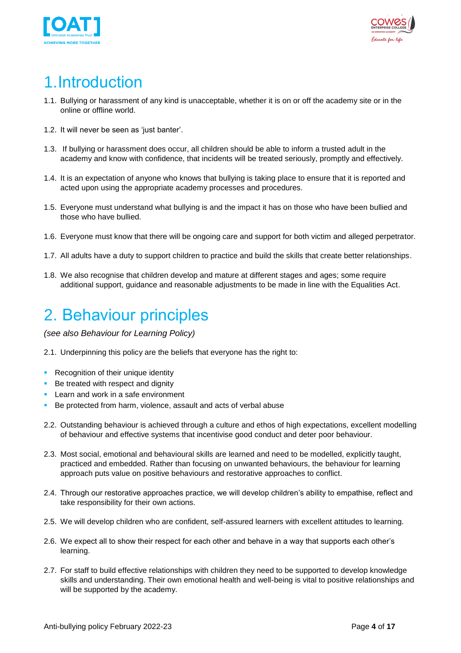



## <span id="page-3-0"></span>1.Introduction

- 1.1. Bullying or harassment of any kind is unacceptable, whether it is on or off the academy site or in the online or offline world.
- 1.2. It will never be seen as 'just banter'.
- 1.3. If bullying or harassment does occur, all children should be able to inform a trusted adult in the academy and know with confidence, that incidents will be treated seriously, promptly and effectively.
- 1.4. It is an expectation of anyone who knows that bullying is taking place to ensure that it is reported and acted upon using the appropriate academy processes and procedures.
- 1.5. Everyone must understand what bullying is and the impact it has on those who have been bullied and those who have bullied.
- 1.6. Everyone must know that there will be ongoing care and support for both victim and alleged perpetrator.
- 1.7. All adults have a duty to support children to practice and build the skills that create better relationships.
- 1.8. We also recognise that children develop and mature at different stages and ages; some require additional support, guidance and reasonable adjustments to be made in line with the Equalities Act.

### <span id="page-3-1"></span>2. Behaviour principles

*(see also Behaviour for Learning Policy)*

2.1. Underpinning this policy are the beliefs that everyone has the right to:

- **Recognition of their unique identity**
- Be treated with respect and dignity
- **EXEC** Learn and work in a safe environment
- Be protected from harm, violence, assault and acts of verbal abuse
- 2.2. Outstanding behaviour is achieved through a culture and ethos of high expectations, excellent modelling of behaviour and effective systems that incentivise good conduct and deter poor behaviour.
- 2.3. Most social, emotional and behavioural skills are learned and need to be modelled, explicitly taught, practiced and embedded. Rather than focusing on unwanted behaviours, the behaviour for learning approach puts value on positive behaviours and restorative approaches to conflict.
- 2.4. Through our restorative approaches practice, we will develop children's ability to empathise, reflect and take responsibility for their own actions.
- 2.5. We will develop children who are confident, self-assured learners with excellent attitudes to learning.
- 2.6. We expect all to show their respect for each other and behave in a way that supports each other's learning.
- 2.7. For staff to build effective relationships with children they need to be supported to develop knowledge skills and understanding. Their own emotional health and well-being is vital to positive relationships and will be supported by the academy.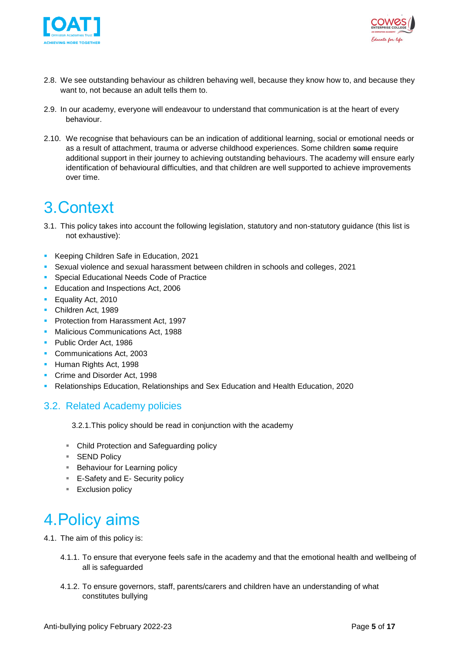



- 2.8. We see outstanding behaviour as children behaving well, because they know how to, and because they want to, not because an adult tells them to.
- 2.9. In our academy, everyone will endeavour to understand that communication is at the heart of every behaviour.
- 2.10. We recognise that behaviours can be an indication of additional learning, social or emotional needs or as a result of attachment, trauma or adverse childhood experiences. Some children some require additional support in their journey to achieving outstanding behaviours. The academy will ensure early identification of behavioural difficulties, and that children are well supported to achieve improvements over time.

### <span id="page-4-0"></span>3.Context

- 3.1. This policy takes into account the following legislation, statutory and non-statutory guidance (this list is not exhaustive):
- Keeping Children Safe in Education, 2021
- **Sexual violence and sexual harassment between children in schools and colleges, 2021**
- Special Educational Needs Code of Practice
- **Education and Inspections Act, 2006**
- Equality Act, 2010
- Children Act, 1989
- **Protection from Harassment Act, 1997**
- **E** Malicious Communications Act, 1988
- Public Order Act, 1986
- Communications Act, 2003
- **E** Human Rights Act, 1998
- Crime and Disorder Act, 1998
- Relationships Education, Relationships and Sex Education and Health Education, 2020

#### <span id="page-4-1"></span>3.2. Related Academy policies

3.2.1.This policy should be read in conjunction with the academy

- Child Protection and Safeguarding policy
- SEND Policy
- Behaviour for Learning policy
- E-Safety and E- Security policy
- Exclusion policy

# <span id="page-4-2"></span>4.Policy aims

4.1. The aim of this policy is:

- 4.1.1. To ensure that everyone feels safe in the academy and that the emotional health and wellbeing of all is safeguarded
- 4.1.2. To ensure governors, staff, parents/carers and children have an understanding of what constitutes bullying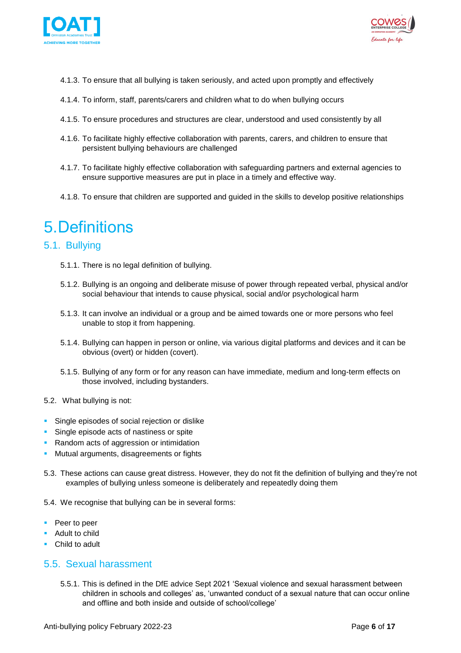



- 4.1.3. To ensure that all bullying is taken seriously, and acted upon promptly and effectively
- 4.1.4. To inform, staff, parents/carers and children what to do when bullying occurs
- 4.1.5. To ensure procedures and structures are clear, understood and used consistently by all
- 4.1.6. To facilitate highly effective collaboration with parents, carers, and children to ensure that persistent bullying behaviours are challenged
- 4.1.7. To facilitate highly effective collaboration with safeguarding partners and external agencies to ensure supportive measures are put in place in a timely and effective way.
- 4.1.8. To ensure that children are supported and guided in the skills to develop positive relationships

### <span id="page-5-0"></span>5.Definitions

#### <span id="page-5-1"></span>5.1. Bullying

- 5.1.1. There is no legal definition of bullying.
- 5.1.2. Bullying is an ongoing and deliberate misuse of power through repeated verbal, physical and/or social behaviour that intends to cause physical, social and/or psychological harm
- 5.1.3. It can involve an individual or a group and be aimed towards one or more persons who feel unable to stop it from happening.
- 5.1.4. Bullying can happen in person or online, via various digital platforms and devices and it can be obvious (overt) or hidden (covert).
- 5.1.5. Bullying of any form or for any reason can have immediate, medium and long-term effects on those involved, including bystanders.
- 5.2. What bullying is not:
- **EXECTE:** Single episodes of social rejection or dislike
- **EXECUTE:** Single episode acts of nastiness or spite
- Random acts of aggression or intimidation
- **■** Mutual arguments, disagreements or fights
- 5.3. These actions can cause great distress. However, they do not fit the definition of bullying and they're not examples of bullying unless someone is deliberately and repeatedly doing them
- 5.4. We recognise that bullying can be in several forms:
- Peer to peer
- Adult to child
- Child to adult

#### <span id="page-5-2"></span>5.5. Sexual harassment

5.5.1. This is defined in the DfE advice Sept 2021 'Sexual violence and sexual harassment between children in schools and colleges' as, 'unwanted conduct of a sexual nature that can occur online and offline and both inside and outside of school/college'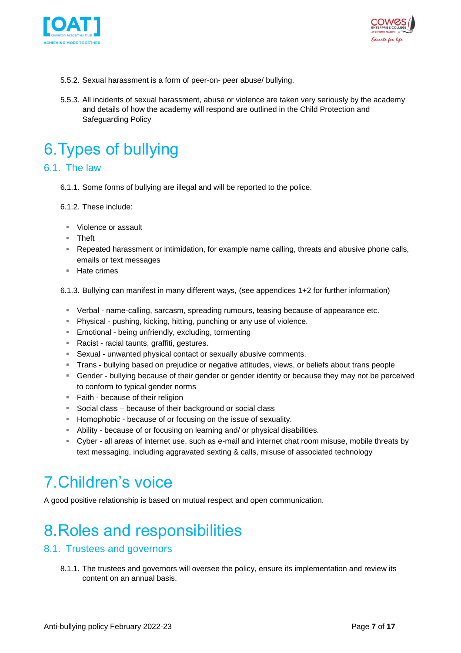



- 5.5.2. Sexual harassment is a form of peer-on- peer abuse/ bullying.
- 5.5.3. All incidents of sexual harassment, abuse or violence are taken very seriously by the academy and details of how the academy will respond are outlined in the Child Protection and Safeguarding Policy

# <span id="page-6-0"></span>6.Types of bullying

#### <span id="page-6-1"></span>6.1. The law

- 6.1.1. Some forms of bullying are illegal and will be reported to the police.
- 6.1.2. These include:
	- Violence or assault
	- Theft
	- **EXE** Repeated harassment or intimidation, for example name calling, threats and abusive phone calls, emails or text messages
	- Hate crimes

6.1.3. Bullying can manifest in many different ways, (see appendices 1+2 for further information)

- Verbal name-calling, sarcasm, spreading rumours, teasing because of appearance etc.
- Physical pushing, kicking, hitting, punching or any use of violence.
- **Emotional being unfriendly, excluding, tormenting**
- Racist racial taunts, graffiti, gestures.
- Sexual unwanted physical contact or sexually abusive comments.
- Trans bullying based on prejudice or negative attitudes, views, or beliefs about trans people
- **EX Gender bullying because of their gender or gender identity or because they may not be perceived** to conform to typical gender norms
- Faith because of their religion
- Social class because of their background or social class
- **EXEDEN** Homophobic because of or focusing on the issue of sexuality.
- Ability because of or focusing on learning and/ or physical disabilities.
- Cyber all areas of internet use, such as e-mail and internet chat room misuse, mobile threats by text messaging, including aggravated sexting & calls, misuse of associated technology

### <span id="page-6-2"></span>7.Children's voice

A good positive relationship is based on mutual respect and open communication.

# <span id="page-6-3"></span>8.Roles and responsibilities

#### <span id="page-6-4"></span>8.1. Trustees and governors

8.1.1. The trustees and governors will oversee the policy, ensure its implementation and review its content on an annual basis.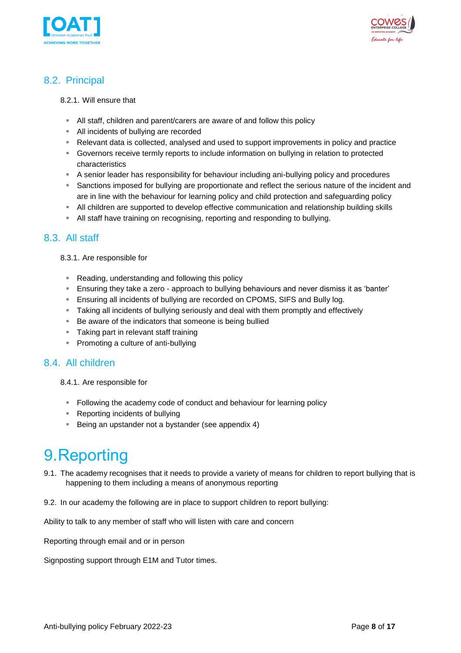



#### <span id="page-7-0"></span>8.2. Principal

#### 8.2.1. Will ensure that

- All staff, children and parent/carers are aware of and follow this policy
- All incidents of bullying are recorded
- Relevant data is collected, analysed and used to support improvements in policy and practice
- **EX Governors receive termly reports to include information on bullying in relation to protected** characteristics
- A senior leader has responsibility for behaviour including ani-bullying policy and procedures
- **EXEDENT** Sanctions imposed for bullying are proportionate and reflect the serious nature of the incident and are in line with the behaviour for learning policy and child protection and safeguarding policy
- **EXTEN All children are supported to develop effective communication and relationship building skills**
- All staff have training on recognising, reporting and responding to bullying.

#### <span id="page-7-1"></span>8.3. All staff

#### 8.3.1. Are responsible for

- Reading, understanding and following this policy
- **E** Ensuring they take a zero approach to bullying behaviours and never dismiss it as 'banter'
- **Ensuring all incidents of bullying are recorded on CPOMS, SIFS and Bully log.**
- **EXECT** Taking all incidents of bullying seriously and deal with them promptly and effectively
- Be aware of the indicators that someone is being bullied
- Taking part in relevant staff training
- Promoting a culture of anti-bullying

#### <span id="page-7-2"></span>8.4. All children

8.4.1. Are responsible for

- Following the academy code of conduct and behaviour for learning policy
- Reporting incidents of bullying
- Being an upstander not a bystander (see appendix 4)

### <span id="page-7-3"></span>9.Reporting

- 9.1. The academy recognises that it needs to provide a variety of means for children to report bullying that is happening to them including a means of anonymous reporting
- 9.2. In our academy the following are in place to support children to report bullying:

Ability to talk to any member of staff who will listen with care and concern

Reporting through email and or in person

Signposting support through E1M and Tutor times.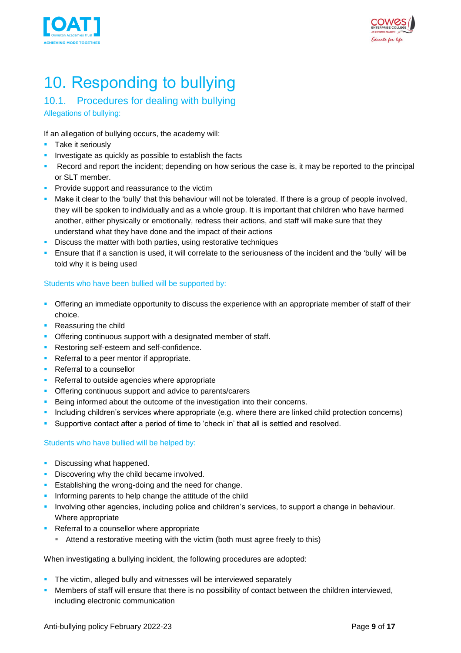



# <span id="page-8-0"></span>10. Responding to bullying

### <span id="page-8-1"></span>10.1. Procedures for dealing with bullying

Allegations of bullying:

If an allegation of bullying occurs, the academy will:

- **Take it seriously**
- **·** Investigate as quickly as possible to establish the facts
- Record and report the incident; depending on how serious the case is, it may be reported to the principal or SLT member.
- **Provide support and reassurance to the victim**
- Make it clear to the 'bully' that this behaviour will not be tolerated. If there is a group of people involved, they will be spoken to individually and as a whole group. It is important that children who have harmed another, either physically or emotionally, redress their actions, and staff will make sure that they understand what they have done and the impact of their actions
- **EXECT:** Discuss the matter with both parties, using restorative techniques
- **E** Ensure that if a sanction is used, it will correlate to the seriousness of the incident and the 'bully' will be told why it is being used

#### Students who have been bullied will be supported by:

- **•** Offering an immediate opportunity to discuss the experience with an appropriate member of staff of their choice.
- Reassuring the child
- **Offering continuous support with a designated member of staff.**
- **Restoring self-esteem and self-confidence.**
- Referral to a peer mentor if appropriate.
- Referral to a counsellor
- Referral to outside agencies where appropriate
- **Offering continuous support and advice to parents/carers**
- **EXECTE INTER INTER IS A DETERTION IN A DETERTION IN A DETERTION IN A DETERTION IN A DETERTION ISL** Deing and their concerns.
- Including children's services where appropriate (e.g. where there are linked child protection concerns)
- Supportive contact after a period of time to 'check in' that all is settled and resolved.

#### Students who have bullied will be helped by:

- **Discussing what happened.**
- **Discovering why the child became involved.**
- **Example 1** Establishing the wrong-doing and the need for change.
- **·** Informing parents to help change the attitude of the child
- Involving other agencies, including police and children's services, to support a change in behaviour. Where appropriate
- Referral to a counsellor where appropriate
	- Attend a restorative meeting with the victim (both must agree freely to this)

When investigating a bullying incident, the following procedures are adopted:

- **•** The victim, alleged bully and witnesses will be interviewed separately
- Members of staff will ensure that there is no possibility of contact between the children interviewed, including electronic communication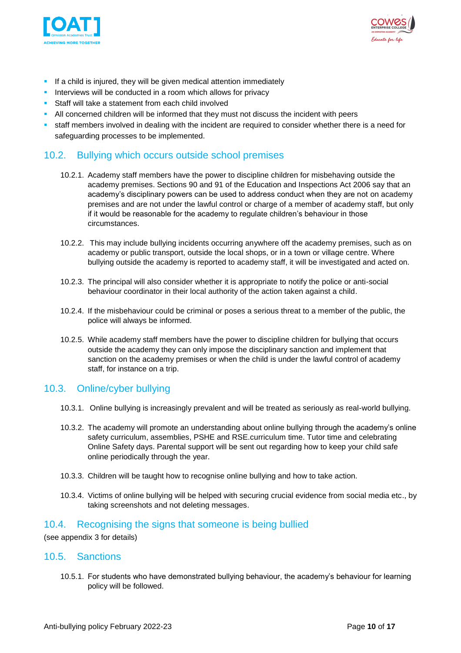



- **EXECT** If a child is injured, they will be given medical attention immediately
- **EXECT** Interviews will be conducted in a room which allows for privacy
- Staff will take a statement from each child involved
- **EXECT All concerned children will be informed that they must not discuss the incident with peers**
- **EXECT:** staff members involved in dealing with the incident are required to consider whether there is a need for safeguarding processes to be implemented.

#### <span id="page-9-0"></span>10.2. Bullying which occurs outside school premises

- 10.2.1. Academy staff members have the power to discipline children for misbehaving outside the academy premises. Sections 90 and 91 of the Education and Inspections Act 2006 say that an academy's disciplinary powers can be used to address conduct when they are not on academy premises and are not under the lawful control or charge of a member of academy staff, but only if it would be reasonable for the academy to regulate children's behaviour in those circumstances.
- 10.2.2. This may include bullying incidents occurring anywhere off the academy premises, such as on academy or public transport, outside the local shops, or in a town or village centre. Where bullying outside the academy is reported to academy staff, it will be investigated and acted on.
- 10.2.3. The principal will also consider whether it is appropriate to notify the police or anti-social behaviour coordinator in their local authority of the action taken against a child.
- 10.2.4. If the misbehaviour could be criminal or poses a serious threat to a member of the public, the police will always be informed.
- 10.2.5. While academy staff members have the power to discipline children for bullying that occurs outside the academy they can only impose the disciplinary sanction and implement that sanction on the academy premises or when the child is under the lawful control of academy staff, for instance on a trip.

#### <span id="page-9-1"></span>10.3. Online/cyber bullying

- 10.3.1. Online bullying is increasingly prevalent and will be treated as seriously as real-world bullying.
- 10.3.2. The academy will promote an understanding about online bullying through the academy's online safety curriculum, assemblies, PSHE and RSE.curriculum time. Tutor time and celebrating Online Safety days. Parental support will be sent out regarding how to keep your child safe online periodically through the year.
- 10.3.3. Children will be taught how to recognise online bullying and how to take action.
- 10.3.4. Victims of online bullying will be helped with securing crucial evidence from social media etc., by taking screenshots and not deleting messages.

#### <span id="page-9-2"></span>10.4. Recognising the signs that someone is being bullied

(see appendix 3 for details)

#### <span id="page-9-3"></span>10.5. Sanctions

10.5.1. For students who have demonstrated bullying behaviour, the academy's behaviour for learning policy will be followed.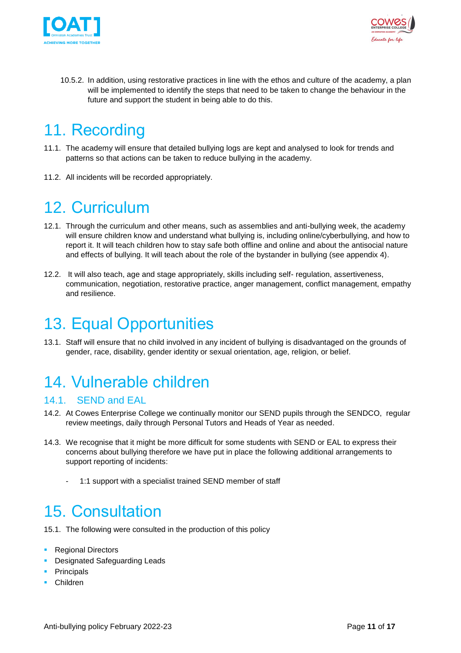



10.5.2. In addition, using restorative practices in line with the ethos and culture of the academy, a plan will be implemented to identify the steps that need to be taken to change the behaviour in the future and support the student in being able to do this.

### <span id="page-10-0"></span>11. Recording

- 11.1. The academy will ensure that detailed bullying logs are kept and analysed to look for trends and patterns so that actions can be taken to reduce bullying in the academy.
- 11.2. All incidents will be recorded appropriately.

## <span id="page-10-1"></span>12. Curriculum

- 12.1. Through the curriculum and other means, such as assemblies and anti-bullying week, the academy will ensure children know and understand what bullying is, including online/cyberbullying, and how to report it. It will teach children how to stay safe both offline and online and about the antisocial nature and effects of bullying. It will teach about the role of the bystander in bullying (see appendix 4).
- 12.2. It will also teach, age and stage appropriately, skills including self- regulation, assertiveness, communication, negotiation, restorative practice, anger management, conflict management, empathy and resilience.

## <span id="page-10-2"></span>13. Equal Opportunities

13.1. Staff will ensure that no child involved in any incident of bullying is disadvantaged on the grounds of gender, race, disability, gender identity or sexual orientation, age, religion, or belief.

## <span id="page-10-3"></span>14. Vulnerable children

#### <span id="page-10-4"></span>14.1. SEND and EAL

- 14.2. At Cowes Enterprise College we continually monitor our SEND pupils through the SENDCO, regular review meetings, daily through Personal Tutors and Heads of Year as needed.
- 14.3. We recognise that it might be more difficult for some students with SEND or EAL to express their concerns about bullying therefore we have put in place the following additional arrangements to support reporting of incidents:
	- 1:1 support with a specialist trained SEND member of staff

### <span id="page-10-5"></span>15. Consultation

- 15.1. The following were consulted in the production of this policy
- Regional Directors
- **Designated Safeguarding Leads**
- **•** Principals
- Children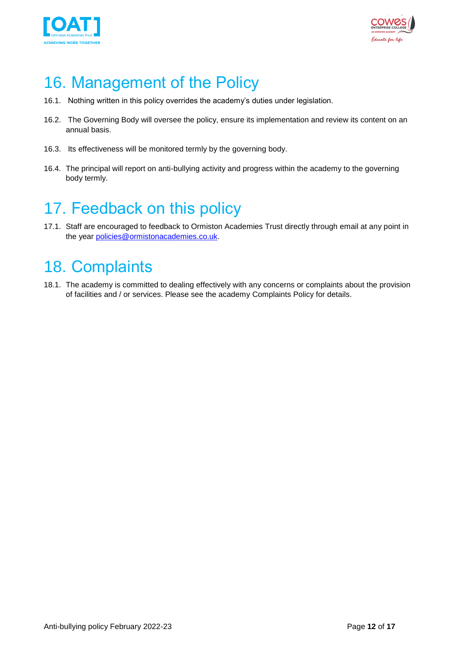



## <span id="page-11-0"></span>16. Management of the Policy

- 16.1. Nothing written in this policy overrides the academy's duties under legislation.
- 16.2. The Governing Body will oversee the policy, ensure its implementation and review its content on an annual basis.
- 16.3. Its effectiveness will be monitored termly by the governing body.
- 16.4. The principal will report on anti-bullying activity and progress within the academy to the governing body termly.

### <span id="page-11-1"></span>17. Feedback on this policy

17.1. Staff are encouraged to feedback to Ormiston Academies Trust directly through email at any point in the year [policies@ormistonacademies.co.uk.](mailto:policies@ormistonacademies.co.uk)

### <span id="page-11-2"></span>18. Complaints

18.1. The academy is committed to dealing effectively with any concerns or complaints about the provision of facilities and / or services. Please see the academy Complaints Policy for details.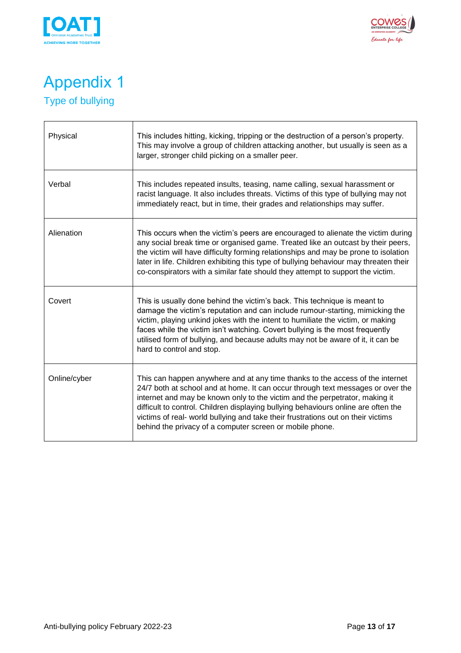



### <span id="page-12-1"></span><span id="page-12-0"></span>Appendix 1 Type of bullying

| Physical     | This includes hitting, kicking, tripping or the destruction of a person's property.<br>This may involve a group of children attacking another, but usually is seen as a<br>larger, stronger child picking on a smaller peer.                                                                                                                                                                                                                                                          |
|--------------|---------------------------------------------------------------------------------------------------------------------------------------------------------------------------------------------------------------------------------------------------------------------------------------------------------------------------------------------------------------------------------------------------------------------------------------------------------------------------------------|
| Verbal       | This includes repeated insults, teasing, name calling, sexual harassment or<br>racist language. It also includes threats. Victims of this type of bullying may not<br>immediately react, but in time, their grades and relationships may suffer.                                                                                                                                                                                                                                      |
| Alienation   | This occurs when the victim's peers are encouraged to alienate the victim during<br>any social break time or organised game. Treated like an outcast by their peers,<br>the victim will have difficulty forming relationships and may be prone to isolation<br>later in life. Children exhibiting this type of bullying behaviour may threaten their<br>co-conspirators with a similar fate should they attempt to support the victim.                                                |
| Covert       | This is usually done behind the victim's back. This technique is meant to<br>damage the victim's reputation and can include rumour-starting, mimicking the<br>victim, playing unkind jokes with the intent to humiliate the victim, or making<br>faces while the victim isn't watching. Covert bullying is the most frequently<br>utilised form of bullying, and because adults may not be aware of it, it can be<br>hard to control and stop.                                        |
| Online/cyber | This can happen anywhere and at any time thanks to the access of the internet<br>24/7 both at school and at home. It can occur through text messages or over the<br>internet and may be known only to the victim and the perpetrator, making it<br>difficult to control. Children displaying bullying behaviours online are often the<br>victims of real- world bullying and take their frustrations out on their victims<br>behind the privacy of a computer screen or mobile phone. |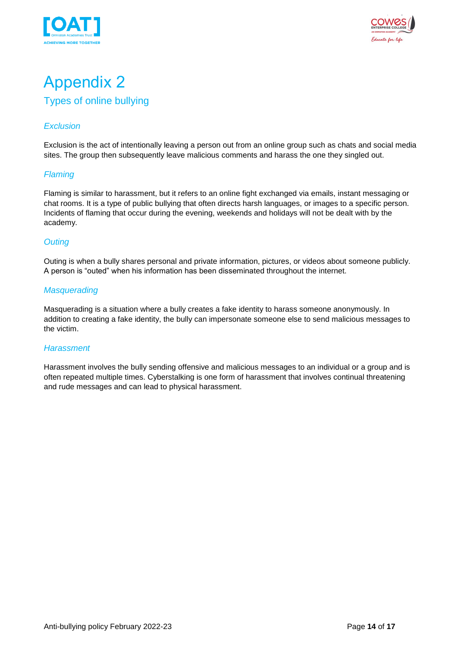



### <span id="page-13-0"></span>Appendix 2 Types of online bullying

#### <span id="page-13-1"></span>*Exclusion*

Exclusion is the act of intentionally leaving a person out from an online group such as chats and social media sites. The group then subsequently leave malicious comments and harass the one they singled out.

#### *Flaming*

Flaming is similar to harassment, but it refers to an online fight exchanged via emails, instant messaging or chat rooms. It is a type of public bullying that often directs harsh languages, or images to a specific person. Incidents of flaming that occur during the evening, weekends and holidays will not be dealt with by the academy.

#### *Outing*

Outing is when a bully shares personal and private information, pictures, or videos about someone publicly. A person is "outed" when his information has been disseminated throughout the internet.

#### *Masquerading*

Masquerading is a situation where a bully creates a fake identity to harass someone anonymously. In addition to creating a fake identity, the bully can impersonate someone else to send malicious messages to the victim.

#### *Harassment*

Harassment involves the bully sending offensive and malicious messages to an individual or a group and is often repeated multiple times. Cyberstalking is one form of harassment that involves continual threatening and rude messages and can lead to physical harassment.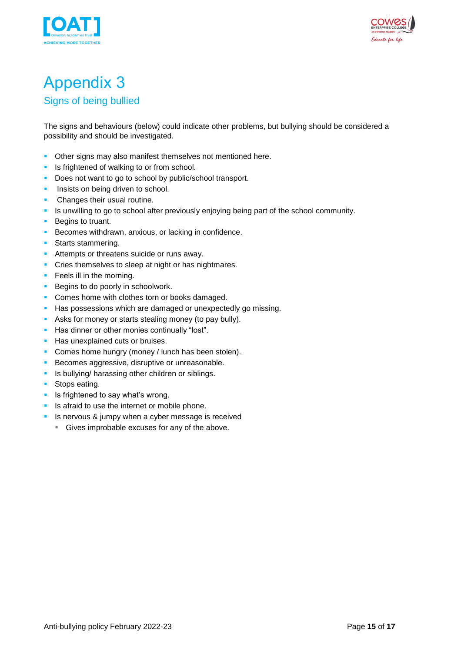



# <span id="page-14-0"></span>Appendix 3

#### <span id="page-14-1"></span>Signs of being bullied

The signs and behaviours (below) could indicate other problems, but bullying should be considered a possibility and should be investigated.

- **Other signs may also manifest themselves not mentioned here.**
- **EXECUTE:** Is frightened of walking to or from school.
- Does not want to go to school by public/school transport.
- **·** Insists on being driven to school.
- **•** Changes their usual routine.
- Is unwilling to go to school after previously enjoying being part of the school community.
- Begins to truant.
- **EXECOMES withdrawn, anxious, or lacking in confidence.**
- **•** Starts stammering.
- **E** Attempts or threatens suicide or runs away.
- **•** Cries themselves to sleep at night or has nightmares.
- **•** Feels ill in the morning.
- Begins to do poorly in schoolwork.
- **Comes home with clothes torn or books damaged.**
- **EXECT** Has possessions which are damaged or unexpectedly go missing.
- Asks for money or starts stealing money (to pay bully).
- Has dinner or other monies continually "lost".
- **EXECUTE:** Has unexplained cuts or bruises.
- **Comes home hungry (money / lunch has been stolen).**
- **EXECOMES aggressive, disruptive or unreasonable.**
- **·** Is bullying/ harassing other children or siblings.
- Stops eating.
- **E** Is frightened to say what's wrong.
- **EXECUTE:** Is afraid to use the internet or mobile phone.
- **EXPLO** Is nervous & jumpy when a cyber message is received
	- **EXEC** Gives improbable excuses for any of the above.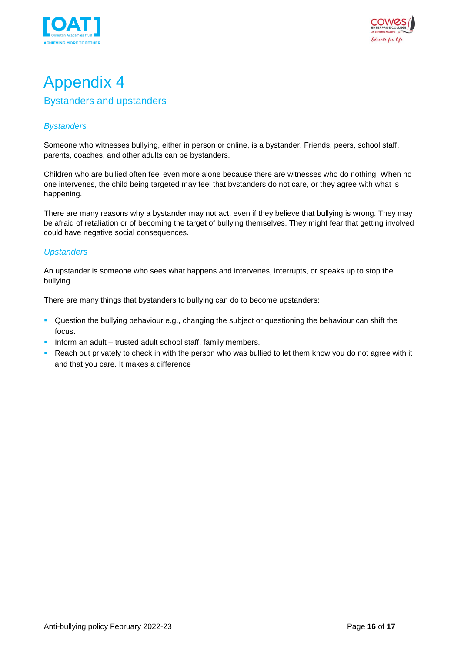



### <span id="page-15-1"></span><span id="page-15-0"></span>Appendix 4 Bystanders and upstanders

#### *Bystanders*

Someone who witnesses bullying, either in person or online, is a bystander. Friends, peers, school staff, parents, coaches, and other adults can be bystanders.

Children who are bullied often feel even more alone because there are witnesses who do nothing. When no one intervenes, the child being targeted may feel that bystanders do not care, or they agree with what is happening.

There are many reasons why a bystander may not act, even if they believe that bullying is wrong. They may be afraid of retaliation or of becoming the target of bullying themselves. They might fear that getting involved could have negative social consequences.

#### *Upstanders*

An upstander is someone who sees what happens and intervenes, interrupts, or speaks up to stop the bullying.

There are many things that bystanders to bullying can do to become upstanders:

- Question the bullying behaviour e.g., changing the subject or questioning the behaviour can shift the focus.
- **·** Inform an adult trusted adult school staff, family members.
- Reach out privately to check in with the person who was bullied to let them know you do not agree with it and that you care. It makes a difference